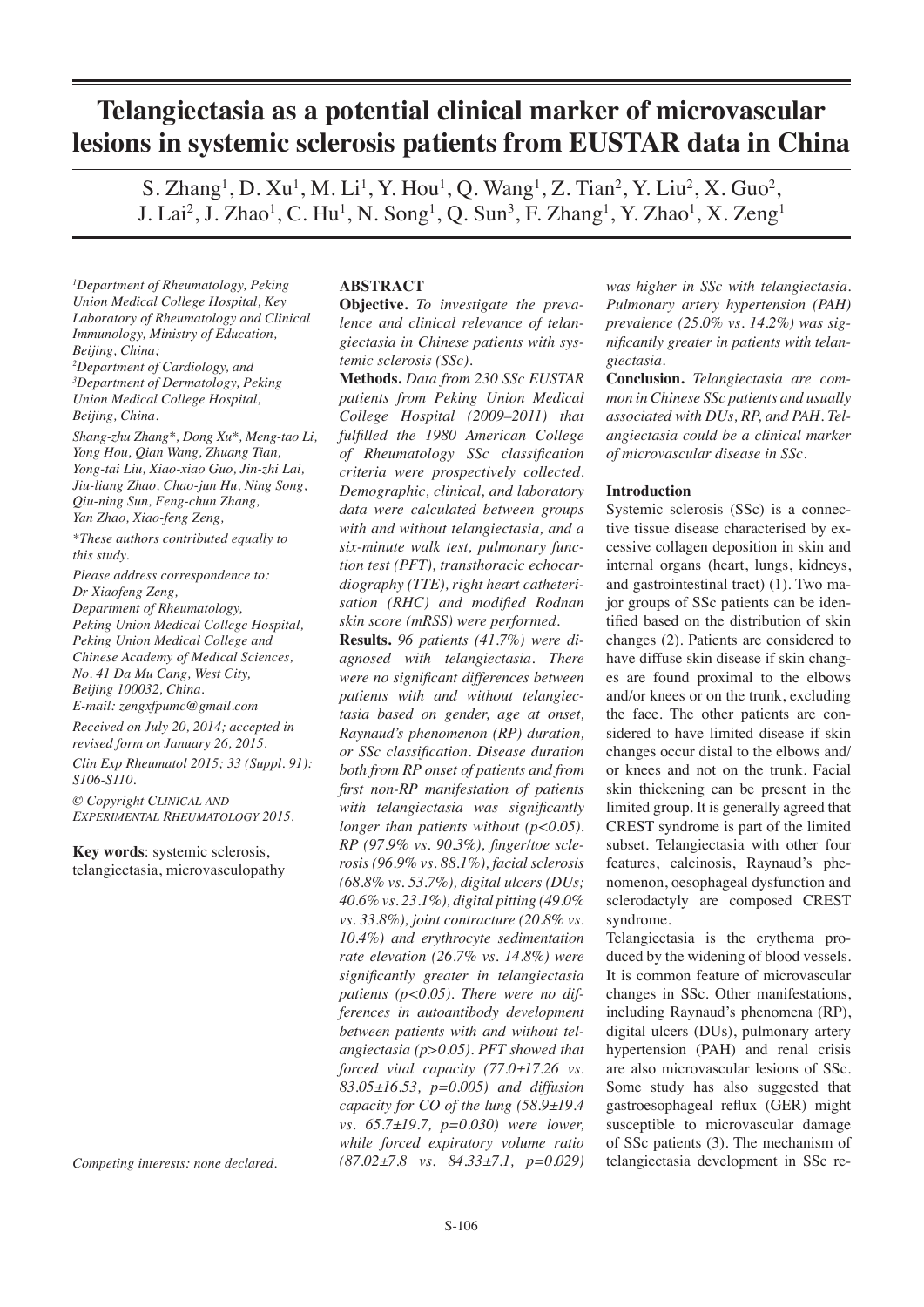# **Telangiectasia as a potential clinical marker of microvascular lesions in systemic sclerosis patients from EUSTAR data in China**

S. Zhang<sup>1</sup>, D. Xu<sup>1</sup>, M. Li<sup>1</sup>, Y. Hou<sup>1</sup>, Q. Wang<sup>1</sup>, Z. Tian<sup>2</sup>, Y. Liu<sup>2</sup>, X. Guo<sup>2</sup>, J. Lai<sup>2</sup>, J. Zhao<sup>1</sup>, C. Hu<sup>1</sup>, N. Song<sup>1</sup>, Q. Sun<sup>3</sup>, F. Zhang<sup>1</sup>, Y. Zhao<sup>1</sup>, X. Zeng<sup>1</sup>

*1 Department of Rheumatology, Peking Union Medical College Hospital, Key Laboratory of Rheumatology and Clinical Immunology, Ministry of Education, Beijing, China;*

*2 Department of Cardiology, and 3 Department of Dermatology, Peking Union Medical College Hospital, Beijing, China.* 

*Shang-zhu Zhang\*, Dong Xu\*, Meng-tao Li, Yong Hou, Qian Wang, Zhuang Tian, Yong-tai Liu, Xiao-xiao Guo, Jin-zhi Lai, Jiu-liang Zhao, Chao-jun Hu, Ning Song, Qiu-ning Sun, Feng-chun Zhang, Yan Zhao, Xiao-feng Zeng,*

*\*These authors contributed equally to this study.*

*Please address correspondence to: Dr Xiaofeng Zeng, Department of Rheumatology, Peking Union Medical College Hospital, Peking Union Medical College and Chinese Academy of Medical Sciences, No. 41 Da Mu Cang, West City, Beijing 100032, China. E-mail: zengxfpumc@gmail.com*

*Received on July 20, 2014; accepted in revised form on January 26, 2015.*

*Clin Exp Rheumatol 2015; 33 (Suppl. 91): S106-S110.*

*© Copyright Clinical and Experimental Rheumatology 2015.*

**Key words**: systemic sclerosis, telangiectasia, microvasculopathy

*Competing interests: none declared.*

#### **ABSTRACT**

**Objective.** *To investigate the prevalence and clinical relevance of telangiectasia in Chinese patients with systemic sclerosis (SSc).*

**Methods.** *Data from 230 SSc EUSTAR patients from Peking Union Medical College Hospital (2009–2011) that fulfilled the 1980 American College of Rheumatology SSc classification criteria were prospectively collected. Demographic, clinical, and laboratory data were calculated between groups with and without telangiectasia, and a six-minute walk test, pulmonary function test (PFT), transthoracic echocardiography (TTE), right heart catheterisation (RHC) and modified Rodnan skin score (mRSS) were performed.*

**Results.** *96 patients (41.7%) were diagnosed with telangiectasia. There were no significant differences between patients with and without telangiectasia based on gender, age at onset, Raynaud's phenomenon (RP) duration, or SSc classification. Disease duration both from RP onset of patients and from first non-RP manifestation of patients with telangiectasia was significantly longer than patients without (p<0.05). RP (97.9% vs. 90.3%), finger/toe sclerosis (96.9% vs. 88.1%), facial sclerosis (68.8% vs. 53.7%), digital ulcers (DUs; 40.6% vs. 23.1%), digital pitting (49.0% vs. 33.8%), joint contracture (20.8% vs. 10.4%) and erythrocyte sedimentation rate elevation (26.7% vs. 14.8%) were significantly greater in telangiectasia patients (p<0.05). There were no differences in autoantibody development between patients with and without telangiectasia (p>0.05). PFT showed that forced vital capacity (77.0±17.26 vs. 83.05±16.53, p=0.005) and diffusion capacity for CO of the lung (58.9±19.4 vs. 65.7±19.7, p=0.030) were lower, while forced expiratory volume ratio (87.02±7.8 vs. 84.33±7.1, p=0.029)* 

*was higher in SSc with telangiectasia. Pulmonary artery hypertension (PAH) prevalence (25.0% vs. 14.2%) was significantly greater in patients with telangiectasia.*

**Conclusion.** *Telangiectasia are common in Chinese SSc patients and usually associated with DUs, RP, and PAH. Telangiectasia could be a clinical marker of microvascular disease in SSc.*

#### **Introduction**

Systemic sclerosis (SSc) is a connective tissue disease characterised by excessive collagen deposition in skin and internal organs (heart, lungs, kidneys, and gastrointestinal tract) (1). Two major groups of SSc patients can be identified based on the distribution of skin changes (2). Patients are considered to have diffuse skin disease if skin changes are found proximal to the elbows and/or knees or on the trunk, excluding the face. The other patients are considered to have limited disease if skin changes occur distal to the elbows and/ or knees and not on the trunk. Facial skin thickening can be present in the limited group. It is generally agreed that CREST syndrome is part of the limited subset. Telangiectasia with other four features, calcinosis, Raynaud's phenomenon, oesophageal dysfunction and sclerodactyly are composed CREST syndrome.

Telangiectasia is the erythema produced by the widening of blood vessels. It is common feature of microvascular changes in SSc. Other manifestations, including Raynaud's phenomena (RP), digital ulcers (DUs), pulmonary artery hypertension (PAH) and renal crisis are also microvascular lesions of SSc. Some study has also suggested that gastroesophageal reflux (GER) might susceptible to microvascular damage of SSc patients (3). The mechanism of telangiectasia development in SSc re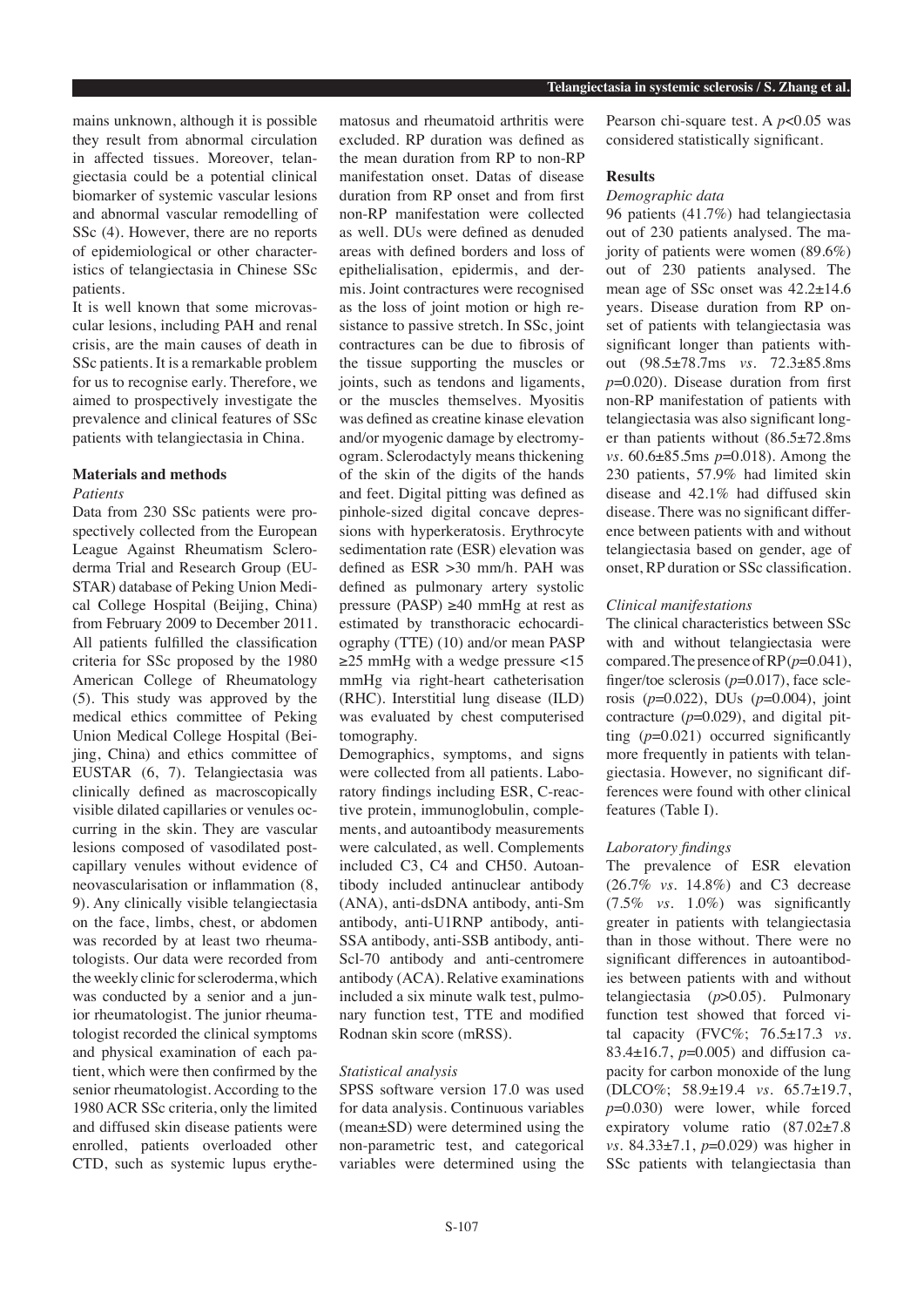mains unknown, although it is possible they result from abnormal circulation in affected tissues. Moreover, telangiectasia could be a potential clinical biomarker of systemic vascular lesions and abnormal vascular remodelling of SSc (4). However, there are no reports of epidemiological or other characteristics of telangiectasia in Chinese SSc patients.

It is well known that some microvascular lesions, including PAH and renal crisis, are the main causes of death in SSc patients. It is a remarkable problem for us to recognise early. Therefore, we aimed to prospectively investigate the prevalence and clinical features of SSc patients with telangiectasia in China.

## **Materials and methods**

#### *Patients*

Data from 230 SSc patients were prospectively collected from the European League Against Rheumatism Scleroderma Trial and Research Group (EU-STAR) database of Peking Union Medical College Hospital (Beijing, China) from February 2009 to December 2011. All patients fulfilled the classification criteria for SSc proposed by the 1980 American College of Rheumatology (5). This study was approved by the medical ethics committee of Peking Union Medical College Hospital (Beijing, China) and ethics committee of EUSTAR (6, 7). Telangiectasia was clinically defined as macroscopically visible dilated capillaries or venules occurring in the skin. They are vascular lesions composed of vasodilated postcapillary venules without evidence of neovascularisation or inflammation (8, 9). Any clinically visible telangiectasia on the face, limbs, chest, or abdomen was recorded by at least two rheumatologists. Our data were recorded from the weekly clinic for scleroderma, which was conducted by a senior and a junior rheumatologist. The junior rheumatologist recorded the clinical symptoms and physical examination of each patient, which were then confirmed by the senior rheumatologist. According to the 1980 ACR SSc criteria, only the limited and diffused skin disease patients were enrolled, patients overloaded other CTD, such as systemic lupus erythematosus and rheumatoid arthritis were excluded. RP duration was defined as the mean duration from RP to non-RP manifestation onset. Datas of disease duration from RP onset and from first non-RP manifestation were collected as well. DUs were defined as denuded areas with defined borders and loss of epithelialisation, epidermis, and dermis. Joint contractures were recognised as the loss of joint motion or high resistance to passive stretch. In SSc, joint contractures can be due to fibrosis of the tissue supporting the muscles or joints, such as tendons and ligaments, or the muscles themselves. Myositis was defined as creatine kinase elevation and/or myogenic damage by electromyogram. Sclerodactyly means thickening of the skin of the digits of the hands and feet. Digital pitting was defined as pinhole-sized digital concave depressions with hyperkeratosis. Erythrocyte sedimentation rate (ESR) elevation was defined as ESR >30 mm/h. PAH was defined as pulmonary artery systolic pressure (PASP)  $\geq$ 40 mmHg at rest as estimated by transthoracic echocardiography (TTE) (10) and/or mean PASP ≥25 mmHg with a wedge pressure <15 mmHg via right-heart catheterisation (RHC). Interstitial lung disease (ILD) was evaluated by chest computerised tomography.

Demographics, symptoms, and signs were collected from all patients. Laboratory findings including ESR, C-reactive protein, immunoglobulin, complements, and autoantibody measurements were calculated, as well. Complements included C3, C4 and CH50. Autoantibody included antinuclear antibody (ANA), anti-dsDNA antibody, anti-Sm antibody, anti-U1RNP antibody, anti-SSA antibody, anti-SSB antibody, anti-Scl-70 antibody and anti-centromere antibody (ACA). Relative examinations included a six minute walk test, pulmonary function test, TTE and modified Rodnan skin score (mRSS).

## *Statistical analysis*

SPSS software version 17.0 was used for data analysis. Continuous variables (mean±SD) were determined using the non-parametric test, and categorical variables were determined using the

Pearson chi-square test. A *p*<0.05 was considered statistically significant.

## **Results**

## *Demographic data*

96 patients (41.7%) had telangiectasia out of 230 patients analysed. The majority of patients were women (89.6%) out of 230 patients analysed. The mean age of SSc onset was 42.2±14.6 years. Disease duration from RP onset of patients with telangiectasia was significant longer than patients without (98.5±78.7ms *vs*. 72.3±85.8ms *p*=0.020). Disease duration from first non-RP manifestation of patients with telangiectasia was also significant longer than patients without (86.5±72.8ms *vs.* 60.6±85.5ms *p*=0.018). Among the 230 patients, 57.9% had limited skin disease and 42.1% had diffused skin disease. There was no significant difference between patients with and without telangiectasia based on gender, age of onset, RP duration or SSc classification.

#### *Clinical manifestations*

The clinical characteristics between SSc with and without telangiectasia were compared. The presence of RP (*p*=0.041), finger/toe sclerosis (*p*=0.017), face sclerosis (*p*=0.022), DUs (*p*=0.004), joint contracture  $(p=0.029)$ , and digital pitting (*p*=0.021) occurred significantly more frequently in patients with telangiectasia. However, no significant differences were found with other clinical features (Table I).

## *Laboratory findings*

The prevalence of ESR elevation (26.7% *vs.* 14.8%) and C3 decrease (7.5% *vs.* 1.0%) was significantly greater in patients with telangiectasia than in those without. There were no significant differences in autoantibodies between patients with and without telangiectasia (*p*>0.05). Pulmonary function test showed that forced vital capacity (FVC%; 76.5±17.3 *vs.*  83.4±16.7, *p*=0.005) and diffusion capacity for carbon monoxide of the lung (DLCO%; 58.9±19.4 *vs.* 65.7±19.7, *p*=0.030) were lower, while forced expiratory volume ratio (87.02±7.8 *vs.* 84.33±7.1, *p*=0.029) was higher in SSc patients with telangiectasia than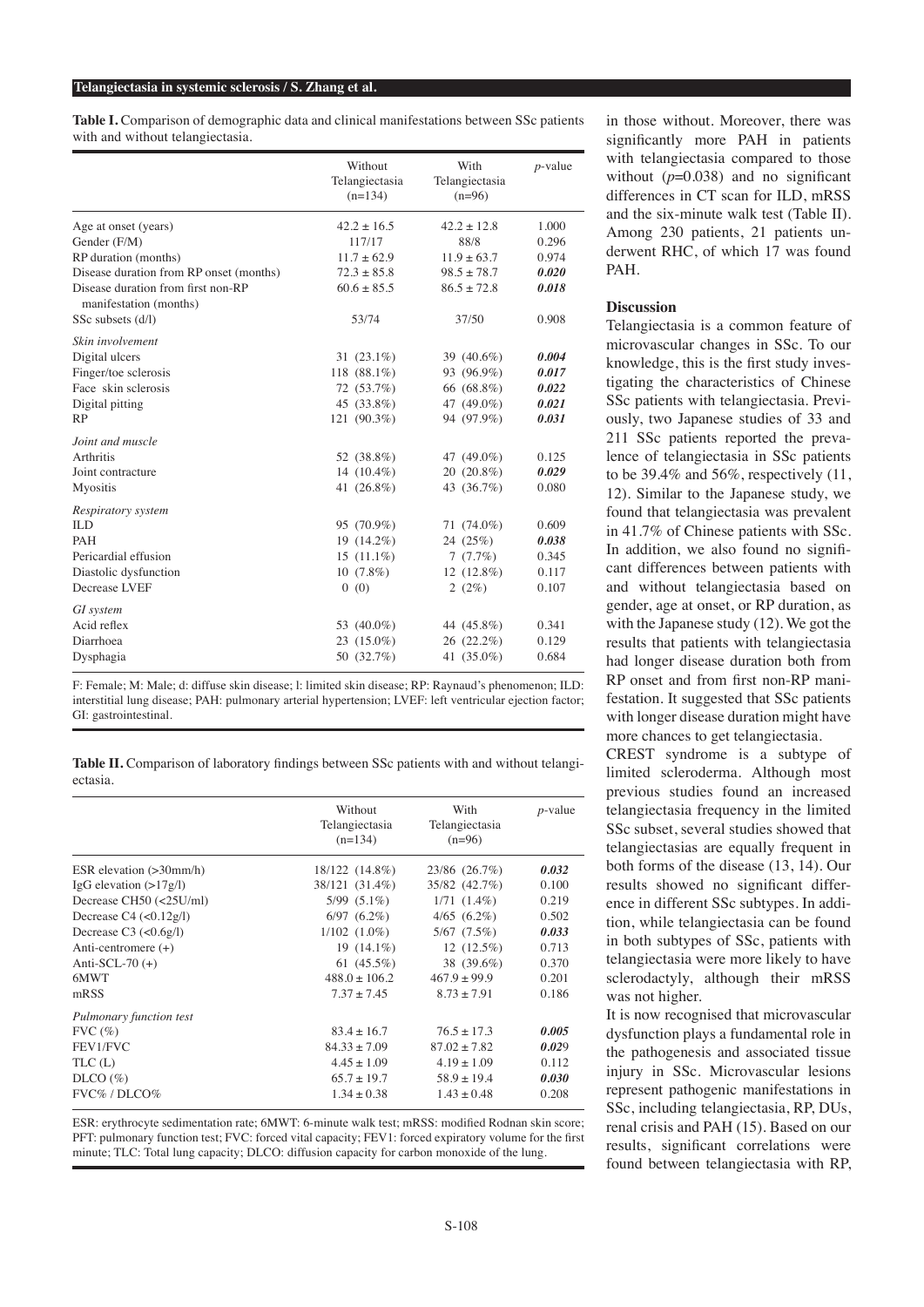#### **Telangiectasia in systemic sclerosis / S. Zhang et al.**

**Table I.** Comparison of demographic data and clinical manifestations between SSc patients with and without telangiectasia.

| $42.2 \pm 12.8$<br>1.000<br>Age at onset (years)<br>$42.2 \pm 16.5$<br>Gender (F/M)<br>117/17<br>88/8<br>0.296<br>RP duration (months)<br>$11.7 \pm 62.9$<br>$11.9 \pm 63.7$<br>0.974<br>Disease duration from RP onset (months)<br>$72.3 \pm 85.8$<br>$98.5 \pm 78.7$<br>0.020<br>Disease duration from first non-RP<br>$60.6 + 85.5$<br>$86.5 + 72.8$<br>0.018<br>manifestation (months)<br>SSc subsets (d/l)<br>37/50<br>53/74<br>0.908<br>Skin involvement<br>Digital ulcers<br>0.004<br>31 $(23.1\%)$<br>39 (40.6%)<br>Finger/toe sclerosis<br>118 $(88.1\%)$<br>93 (96.9%)<br>0.017<br>Face skin sclerosis<br>72 (53.7%)<br>66 (68.8%)<br>0.022<br>Digital pitting<br>45 (33.8%)<br>47 (49.0%)<br>0.021<br>121 (90.3%)<br>94 (97.9%)<br>RP<br>0.031<br>Joint and muscle<br><b>Arthritis</b><br>0.125<br>52 (38.8%)<br>47 (49.0%)<br>0.029<br>14 $(10.4\%)$<br>20 (20.8%)<br>Joint contracture<br>43 (36.7%)<br>41 $(26.8\%)$<br>0.080<br><b>Myositis</b><br>Respiratory system<br><b>ILD</b><br>95 (70.9%)<br>0.609<br>$71(74.0\%)$<br><b>PAH</b><br>19 (14.2%)<br>24 (25%)<br>0.038<br>Pericardial effusion<br>$15(11.1\%)$<br>7(7.7%)<br>0.345<br>Diastolic dysfunction<br>$10(7.8\%)$<br>$12(12.8\%)$<br>0.117 | Without<br>Telangiectasia<br>$(n=134)$ | With<br>Telangiectasia<br>$(n=96)$ | $p$ -value |
|-------------------------------------------------------------------------------------------------------------------------------------------------------------------------------------------------------------------------------------------------------------------------------------------------------------------------------------------------------------------------------------------------------------------------------------------------------------------------------------------------------------------------------------------------------------------------------------------------------------------------------------------------------------------------------------------------------------------------------------------------------------------------------------------------------------------------------------------------------------------------------------------------------------------------------------------------------------------------------------------------------------------------------------------------------------------------------------------------------------------------------------------------------------------------------------------------------------------------|----------------------------------------|------------------------------------|------------|
|                                                                                                                                                                                                                                                                                                                                                                                                                                                                                                                                                                                                                                                                                                                                                                                                                                                                                                                                                                                                                                                                                                                                                                                                                         |                                        |                                    |            |
|                                                                                                                                                                                                                                                                                                                                                                                                                                                                                                                                                                                                                                                                                                                                                                                                                                                                                                                                                                                                                                                                                                                                                                                                                         |                                        |                                    |            |
|                                                                                                                                                                                                                                                                                                                                                                                                                                                                                                                                                                                                                                                                                                                                                                                                                                                                                                                                                                                                                                                                                                                                                                                                                         |                                        |                                    |            |
|                                                                                                                                                                                                                                                                                                                                                                                                                                                                                                                                                                                                                                                                                                                                                                                                                                                                                                                                                                                                                                                                                                                                                                                                                         |                                        |                                    |            |
|                                                                                                                                                                                                                                                                                                                                                                                                                                                                                                                                                                                                                                                                                                                                                                                                                                                                                                                                                                                                                                                                                                                                                                                                                         |                                        |                                    |            |
|                                                                                                                                                                                                                                                                                                                                                                                                                                                                                                                                                                                                                                                                                                                                                                                                                                                                                                                                                                                                                                                                                                                                                                                                                         |                                        |                                    |            |
|                                                                                                                                                                                                                                                                                                                                                                                                                                                                                                                                                                                                                                                                                                                                                                                                                                                                                                                                                                                                                                                                                                                                                                                                                         |                                        |                                    |            |
|                                                                                                                                                                                                                                                                                                                                                                                                                                                                                                                                                                                                                                                                                                                                                                                                                                                                                                                                                                                                                                                                                                                                                                                                                         |                                        |                                    |            |
|                                                                                                                                                                                                                                                                                                                                                                                                                                                                                                                                                                                                                                                                                                                                                                                                                                                                                                                                                                                                                                                                                                                                                                                                                         |                                        |                                    |            |
|                                                                                                                                                                                                                                                                                                                                                                                                                                                                                                                                                                                                                                                                                                                                                                                                                                                                                                                                                                                                                                                                                                                                                                                                                         |                                        |                                    |            |
|                                                                                                                                                                                                                                                                                                                                                                                                                                                                                                                                                                                                                                                                                                                                                                                                                                                                                                                                                                                                                                                                                                                                                                                                                         |                                        |                                    |            |
|                                                                                                                                                                                                                                                                                                                                                                                                                                                                                                                                                                                                                                                                                                                                                                                                                                                                                                                                                                                                                                                                                                                                                                                                                         |                                        |                                    |            |
|                                                                                                                                                                                                                                                                                                                                                                                                                                                                                                                                                                                                                                                                                                                                                                                                                                                                                                                                                                                                                                                                                                                                                                                                                         |                                        |                                    |            |
|                                                                                                                                                                                                                                                                                                                                                                                                                                                                                                                                                                                                                                                                                                                                                                                                                                                                                                                                                                                                                                                                                                                                                                                                                         |                                        |                                    |            |
|                                                                                                                                                                                                                                                                                                                                                                                                                                                                                                                                                                                                                                                                                                                                                                                                                                                                                                                                                                                                                                                                                                                                                                                                                         |                                        |                                    |            |
|                                                                                                                                                                                                                                                                                                                                                                                                                                                                                                                                                                                                                                                                                                                                                                                                                                                                                                                                                                                                                                                                                                                                                                                                                         |                                        |                                    |            |
|                                                                                                                                                                                                                                                                                                                                                                                                                                                                                                                                                                                                                                                                                                                                                                                                                                                                                                                                                                                                                                                                                                                                                                                                                         |                                        |                                    |            |
|                                                                                                                                                                                                                                                                                                                                                                                                                                                                                                                                                                                                                                                                                                                                                                                                                                                                                                                                                                                                                                                                                                                                                                                                                         |                                        |                                    |            |
|                                                                                                                                                                                                                                                                                                                                                                                                                                                                                                                                                                                                                                                                                                                                                                                                                                                                                                                                                                                                                                                                                                                                                                                                                         |                                        |                                    |            |
|                                                                                                                                                                                                                                                                                                                                                                                                                                                                                                                                                                                                                                                                                                                                                                                                                                                                                                                                                                                                                                                                                                                                                                                                                         |                                        |                                    |            |
|                                                                                                                                                                                                                                                                                                                                                                                                                                                                                                                                                                                                                                                                                                                                                                                                                                                                                                                                                                                                                                                                                                                                                                                                                         |                                        |                                    |            |
| Decrease LVEF<br>2(2%)<br>0.107<br>0(0)                                                                                                                                                                                                                                                                                                                                                                                                                                                                                                                                                                                                                                                                                                                                                                                                                                                                                                                                                                                                                                                                                                                                                                                 |                                        |                                    |            |
| GI system                                                                                                                                                                                                                                                                                                                                                                                                                                                                                                                                                                                                                                                                                                                                                                                                                                                                                                                                                                                                                                                                                                                                                                                                               |                                        |                                    |            |
| Acid reflex<br>44 (45.8%)<br>0.341<br>53 (40.0%)                                                                                                                                                                                                                                                                                                                                                                                                                                                                                                                                                                                                                                                                                                                                                                                                                                                                                                                                                                                                                                                                                                                                                                        |                                        |                                    |            |
| Diarrhoea<br>0.129<br>$23(15.0\%)$<br>26 (22.2%)                                                                                                                                                                                                                                                                                                                                                                                                                                                                                                                                                                                                                                                                                                                                                                                                                                                                                                                                                                                                                                                                                                                                                                        |                                        |                                    |            |
| 50 (32.7%)<br>41 (35.0%)<br>Dysphagia<br>0.684                                                                                                                                                                                                                                                                                                                                                                                                                                                                                                                                                                                                                                                                                                                                                                                                                                                                                                                                                                                                                                                                                                                                                                          |                                        |                                    |            |

F: Female; M: Male; d: diffuse skin disease; l: limited skin disease; RP: Raynaud's phenomenon; ILD: interstitial lung disease; PAH: pulmonary arterial hypertension; LVEF: left ventricular ejection factor; GI: gastrointestinal.

**Table II.** Comparison of laboratory findings between SSc patients with and without telangiectasia.

|                              | Without                     | With                       | $p$ -value |  |  |
|------------------------------|-----------------------------|----------------------------|------------|--|--|
|                              | Telangiectasia<br>$(n=134)$ | Telangiectasia<br>$(n=96)$ |            |  |  |
|                              |                             |                            |            |  |  |
|                              |                             |                            |            |  |  |
| ESR elevation $(>30$ mm/h)   | 18/122 (14.8%)              | 23/86 (26.7%)              | 0.032      |  |  |
| IgG elevation $(>17g/l)$     | 38/121 (31.4%)              | 35/82 (42.7%)              | 0.100      |  |  |
| Decrease CH50 (<25U/ml)      | $5/99$ $(5.1\%)$            | $1/71(1.4\%)$              | 0.219      |  |  |
| Decrease $C4$ (< $0.12g/l$ ) | $6/97(6.2\%)$               | $4/65$ $(6.2\%)$           | 0.502      |  |  |
| Decrease $C3$ ( $<0.6g/1$ )  | $1/102$ $(1.0\%)$           | $5/67$ $(7.5\%)$           | 0.033      |  |  |
| Anti-centromere $(+)$        | 19 $(14.1\%)$               | $12(12.5\%)$               | 0.713      |  |  |
| Anti-SCL-70 $(+)$            | 61 $(45.5\%)$               | 38 (39.6%)                 | 0.370      |  |  |
| 6MWT                         | $488.0 + 106.2$             | $467.9 + 99.9$             | 0.201      |  |  |
| mRSS                         | $7.37 + 7.45$               | $8.73 + 7.91$              | 0.186      |  |  |
| Pulmonary function test      |                             |                            |            |  |  |
| $FVC$ $(\%)$                 | $83.4 + 16.7$               | $76.5 + 17.3$              | 0.005      |  |  |
| FEV1/FVC                     | $84.33 \pm 7.09$            | $87.02 + 7.82$             | 0.029      |  |  |
| TLC(L)                       | $4.45 + 1.09$               | $4.19 + 1.09$              | 0.112      |  |  |
| DICO (%)                     | $65.7 \pm 19.7$             | $58.9 \pm 19.4$            | 0.030      |  |  |
| FVC%/DLCO%                   | $1.34 + 0.38$               | $1.43 + 0.48$              | 0.208      |  |  |
|                              |                             |                            |            |  |  |

ESR: erythrocyte sedimentation rate; 6MWT: 6-minute walk test; mRSS: modified Rodnan skin score; PFT: pulmonary function test; FVC: forced vital capacity; FEV1: forced expiratory volume for the first minute; TLC: Total lung capacity; DLCO: diffusion capacity for carbon monoxide of the lung.

in those without. Moreover, there was significantly more PAH in patients with telangiectasia compared to those without  $(p=0.038)$  and no significant differences in CT scan for ILD, mRSS and the six-minute walk test (Table II). Among 230 patients, 21 patients underwent RHC, of which 17 was found PAH.

#### **Discussion**

Telangiectasia is a common feature of microvascular changes in SSc. To our knowledge, this is the first study investigating the characteristics of Chinese SSc patients with telangiectasia. Previously, two Japanese studies of 33 and 211 SSc patients reported the prevalence of telangiectasia in SSc patients to be  $39.4\%$  and  $56\%$ , respectively  $(11,$ 12). Similar to the Japanese study, we found that telangiectasia was prevalent in 41.7% of Chinese patients with SSc. In addition, we also found no significant differences between patients with and without telangiectasia based on gender, age at onset, or RP duration, as with the Japanese study (12). We got the results that patients with telangiectasia had longer disease duration both from RP onset and from first non-RP manifestation. It suggested that SSc patients with longer disease duration might have more chances to get telangiectasia.

CREST syndrome is a subtype of limited scleroderma. Although most previous studies found an increased telangiectasia frequency in the limited SSc subset, several studies showed that telangiectasias are equally frequent in both forms of the disease (13, 14). Our results showed no significant difference in different SSc subtypes. In addition, while telangiectasia can be found in both subtypes of SSc, patients with telangiectasia were more likely to have sclerodactyly, although their mRSS was not higher.

It is now recognised that microvascular dysfunction plays a fundamental role in the pathogenesis and associated tissue injury in SSc. Microvascular lesions represent pathogenic manifestations in SSc, including telangiectasia, RP, DUs, renal crisis and PAH (15). Based on our results, significant correlations were found between telangiectasia with RP,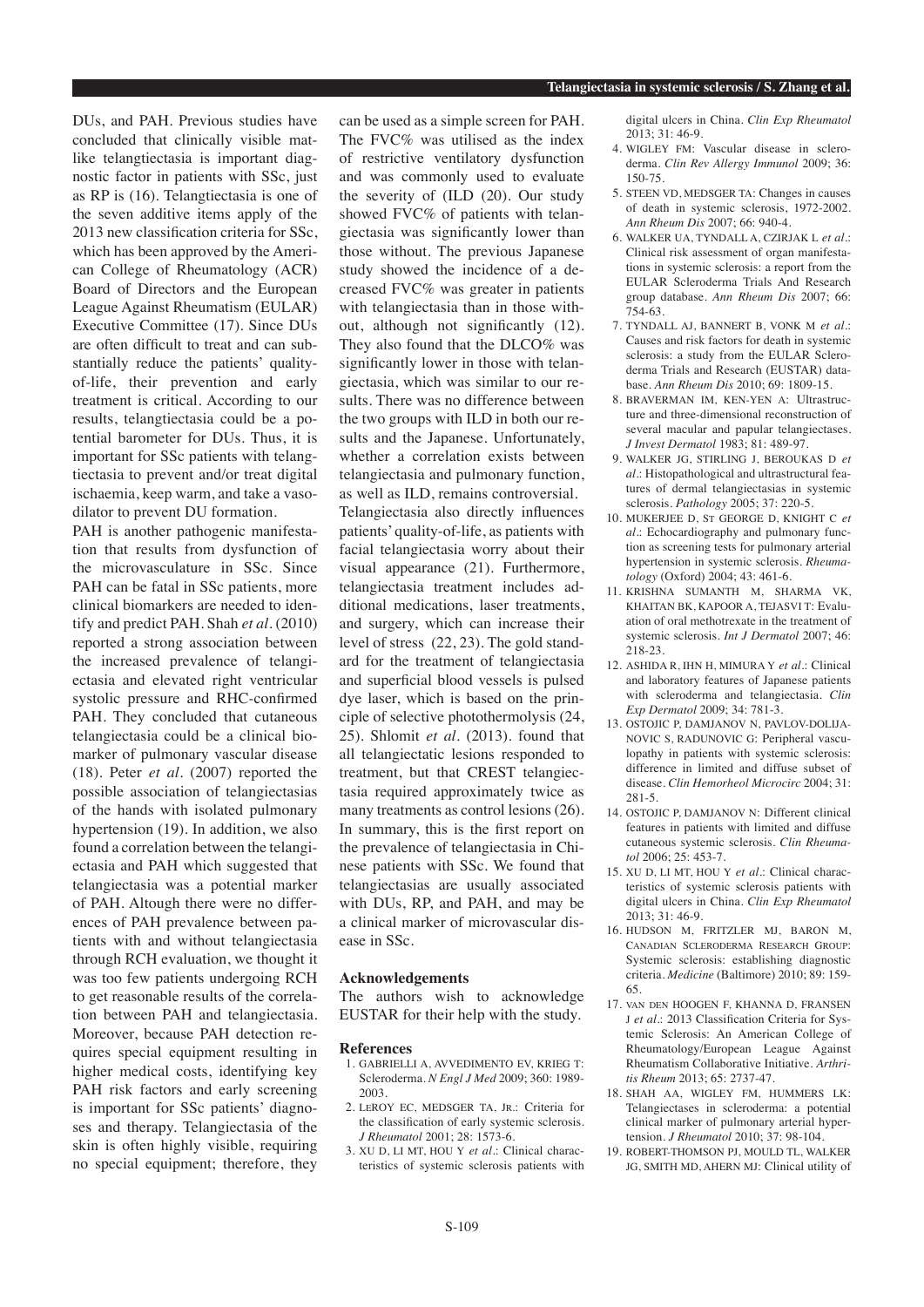DUs, and PAH. Previous studies have concluded that clinically visible matlike telangtiectasia is important diagnostic factor in patients with SSc, just as RP is (16). Telangtiectasia is one of the seven additive items apply of the 2013 new classification criteria for SSc, which has been approved by the American College of Rheumatology (ACR) Board of Directors and the European League Against Rheumatism (EULAR) Executive Committee (17). Since DUs are often difficult to treat and can substantially reduce the patients' qualityof-life, their prevention and early treatment is critical. According to our results, telangtiectasia could be a potential barometer for DUs. Thus, it is important for SSc patients with telangtiectasia to prevent and/or treat digital ischaemia, keep warm, and take a vasodilator to prevent DU formation.

PAH is another pathogenic manifestation that results from dysfunction of the microvasculature in SSc. Since PAH can be fatal in SSc patients, more clinical biomarkers are needed to identify and predict PAH. Shah *et al.* (2010) reported a strong association between the increased prevalence of telangiectasia and elevated right ventricular systolic pressure and RHC-confirmed PAH. They concluded that cutaneous telangiectasia could be a clinical biomarker of pulmonary vascular disease (18). Peter *et al.* (2007) reported the possible association of telangiectasias of the hands with isolated pulmonary hypertension (19). In addition, we also found a correlation between the telangiectasia and PAH which suggested that telangiectasia was a potential marker of PAH. Altough there were no differences of PAH prevalence between patients with and without telangiectasia through RCH evaluation, we thought it was too few patients undergoing RCH to get reasonable results of the correlation between PAH and telangiectasia. Moreover, because PAH detection requires special equipment resulting in higher medical costs, identifying key PAH risk factors and early screening is important for SSc patients' diagnoses and therapy. Telangiectasia of the skin is often highly visible, requiring no special equipment; therefore, they

can be used as a simple screen for PAH. The FVC% was utilised as the index of restrictive ventilatory dysfunction and was commonly used to evaluate the severity of (ILD (20). Our study showed FVC% of patients with telangiectasia was significantly lower than those without. The previous Japanese study showed the incidence of a decreased FVC% was greater in patients with telangiectasia than in those without, although not significantly (12). They also found that the DLCO% was significantly lower in those with telangiectasia, which was similar to our results. There was no difference between the two groups with ILD in both our results and the Japanese. Unfortunately, whether a correlation exists between telangiectasia and pulmonary function, as well as ILD, remains controversial. Telangiectasia also directly influences patients' quality-of-life, as patients with facial telangiectasia worry about their visual appearance (21). Furthermore, telangiectasia treatment includes additional medications, laser treatments, and surgery, which can increase their level of stress (22, 23). The gold standard for the treatment of telangiectasia and superficial blood vessels is pulsed dye laser, which is based on the principle of selective photothermolysis (24, 25). Shlomit *et al.* (2013). found that all telangiectatic lesions responded to treatment, but that CREST telangiectasia required approximately twice as many treatments as control lesions (26). In summary, this is the first report on the prevalence of telangiectasia in Chinese patients with SSc. We found that telangiectasias are usually associated with DUs, RP, and PAH, and may be a clinical marker of microvascular disease in SSc.

#### **Acknowledgements**

The authors wish to acknowledge EUSTAR for their help with the study.

#### **References**

- 1. GABRIELLI A, AVVEDIMENTO EV, KRIEG T: Scleroderma. *N Engl J Med* 2009; 360: 1989- 2003.
- 2. LeROY EC, MEDSGER TA, Jr.: Criteria for the classification of early systemic sclerosis. *J Rheumatol* 2001; 28: 1573-6.
- 3. XU D, LI MT, HOU Y *et al.*: Clinical characteristics of systemic sclerosis patients with

digital ulcers in China. *Clin Exp Rheumatol*  2013; 31: 46-9.

- 4. WIGLEY FM: Vascular disease in scleroderma. *Clin Rev Allergy Immunol* 2009; 36: 150-75.
- 5. STEEN VD, MEDSGER TA: Changes in causes of death in systemic sclerosis, 1972-2002. *Ann Rheum Dis* 2007; 66: 940-4.
- 6. WALKER UA, TYNDALL A, CZIRJAK L *et al.*: Clinical risk assessment of organ manifestations in systemic sclerosis: a report from the EULAR Scleroderma Trials And Research group database. *Ann Rheum Dis* 2007; 66: 754-63.
- 7. TYNDALL AJ, BANNERT B, VONK M *et al.*: Causes and risk factors for death in systemic sclerosis: a study from the EULAR Scleroderma Trials and Research (EUSTAR) database. *Ann Rheum Dis* 2010; 69: 1809-15.
- 8. BRAVERMAN IM, KEN-YEN A: Ultrastructure and three-dimensional reconstruction of several macular and papular telangiectases. *J Invest Dermatol* 1983; 81: 489-97.
- 9. WALKER JG, STIRLING J, BEROUKAS D *et al.*: Histopathological and ultrastructural features of dermal telangiectasias in systemic sclerosis. *Pathology* 2005; 37: 220-5.
- 10. MUKERJEE D, St GEORGE D, KNIGHT C *et al.*: Echocardiography and pulmonary function as screening tests for pulmonary arterial hypertension in systemic sclerosis. *Rheumatology* (Oxford) 2004; 43: 461-6.
- 11. KRISHNA SUMANTH M, SHARMA VK, KHAITAN BK, KAPOOR A, TEJASVI T: Evaluation of oral methotrexate in the treatment of systemic sclerosis. *Int J Dermatol* 2007; 46: 218-23.
- 12. ASHIDA R, IHN H, MIMURA Y *et al.*: Clinical and laboratory features of Japanese patients with scleroderma and telangiectasia. *Clin Exp Dermatol* 2009; 34: 781-3.
- 13. OSTOJIC P, DAMJANOV N, PAVLOV-DOLIJA-NOVIC S, RADUNOVIC G: Peripheral vasculopathy in patients with systemic sclerosis: difference in limited and diffuse subset of disease. *Clin Hemorheol Microcirc* 2004; 31: 281-5.
- 14. OSTOJIC P, DAMJANOV N: Different clinical features in patients with limited and diffuse cutaneous systemic sclerosis. *Clin Rheumatol* 2006; 25: 453-7.
- 15. XU D, LI MT, HOU Y *et al.*: Clinical characteristics of systemic sclerosis patients with digital ulcers in China. *Clin Exp Rheumatol*  $2013 \cdot 31 \cdot 46 - 9$ .
- 16. HUDSON M, FRITZLER MJ, BARON M, Canadian Scleroderma Research Group: Systemic sclerosis: establishing diagnostic criteria. *Medicine* (Baltimore) 2010; 89: 159- 65.
- 17. van den HOOGEN F, KHANNA D, FRANSEN J *et al.*: 2013 Classification Criteria for Systemic Sclerosis: An American College of Rheumatology/European League Against Rheumatism Collaborative Initiative. *Arthritis Rheum* 2013; 65: 2737-47.
- 18. SHAH AA, WIGLEY FM, HUMMERS LK: Telangiectases in scleroderma: a potential clinical marker of pulmonary arterial hypertension. *J Rheumatol* 2010; 37: 98-104.
- 19. ROBERT-THOMSON PJ, MOULD TL, WALKER JG, SMITH MD, AHERN MJ: Clinical utility of